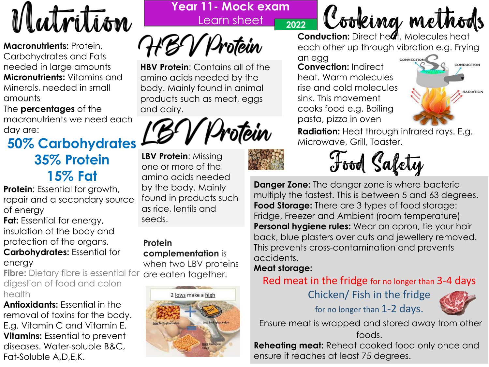

**Macronutrients:** Protein, Carbohydrates and Fats needed in large amounts **Micronutrients:** Vitamins and Minerals, needed in small amounts

The **percentages** of the macronutrients we need each day are:

## **50% Carbohydrates 35% Protein 15% Fat**

**Protein**: Essential for growth, repair and a secondary source of energy

**Fat:** Essential for energy, insulation of the body and protection of the organs. **Carbohydrates:** Essential for

#### energy

**Fibre:** Dietary fibre is essential for digestion of food and colon health

**Antioxidants:** Essential in the removal of toxins for the body. E.g. Vitamin C and Vitamin E. **Vitamins: Essential to prevent** diseases. Water-soluble B&C, Fat-Soluble A,D,E,K.

**Year 11- Mock exam** Learn sheet **<sup>2022</sup>**

rotein

**HBV Protein**: Contains all of the amino acids needed by the body. Mainly found in animal products such as meat, eggs and dairy.

rotein

**LBV Protein**: Missing one or more of the amino acids needed by the body. Mainly found in products such as rice, lentils and seeds.

#### **Protein complementation** is when two LBV proteins are eaten together.



Cooking methods **Conduction:** Direct heat. Molecules heat each other up through vibration e.g. Frying

an egg **Convection:** Indirect heat. Warm molecules rise and cold molecules sink. This movement cooks food e.g. Boiling pasta, pizza in oven



**Radiation:** Heat through infrared rays. E.g. Microwave, Grill, Toaster.



**Danger Zone:** The danger zone is where bacteria multiply the fastest. This is between 5 and 63 degrees. **Food Storage:** There are 3 types of food storage: Fridge, Freezer and Ambient (room temperature) **Personal hygiene rules:** Wear an apron, tie your hair back, blue plasters over cuts and jewellery removed. This prevents cross-contamination and prevents accidents.

### **Meat storage:**

Red meat in the fridge for no longer than 3-4 days

Chicken/ Fish in the fridge for no longer than 1-2 days.



Ensure meat is wrapped and stored away from other foods.

**Reheating meat:** Reheat cooked food only once and ensure it reaches at least 75 degrees.